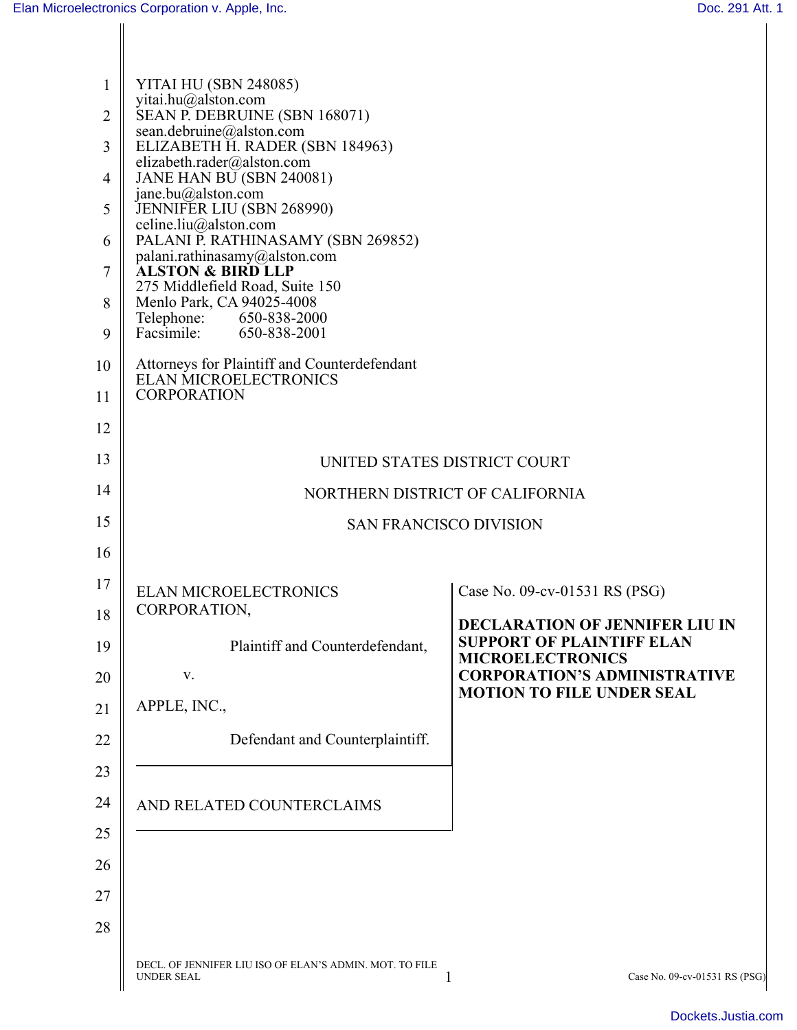| 1              | YITAI HU (SBN 248085)                                                        |                                                                         |
|----------------|------------------------------------------------------------------------------|-------------------------------------------------------------------------|
| $\overline{2}$ | yitai.hu@alston.com<br>SEAN P. DEBRUINE (SBN 168071)                         |                                                                         |
| 3              | sean.debruine@alston.com<br>ELIZABETH H. RADER (SBN 184963)                  |                                                                         |
| 4              | elizabeth.rader@alston.com<br>JANE HAN BU (SBN 240081)                       |                                                                         |
| 5              | jane.bu@alston.com<br>JENNIFER LIU (SBN 268990)                              |                                                                         |
| 6              | celine.liu@alston.com<br>PALANI P. RATHINASAMY (SBN 269852)                  |                                                                         |
| 7              | palani.rathinasamy@alston.com<br><b>ALSTON &amp; BIRD LLP</b>                |                                                                         |
| 8              | 275 Middlefield Road, Suite 150<br>Menlo Park, CA 94025-4008                 |                                                                         |
| 9              | Telephone: 650-838-2000<br>Facsimile: 650-838-2001                           |                                                                         |
| 10             | Attorneys for Plaintiff and Counterdefendant                                 |                                                                         |
| 11             | <b>ELAN MICROELECTRONICS</b><br><b>CORPORATION</b>                           |                                                                         |
| 12             |                                                                              |                                                                         |
| 13             | UNITED STATES DISTRICT COURT                                                 |                                                                         |
| 14             | NORTHERN DISTRICT OF CALIFORNIA                                              |                                                                         |
| 15             | <b>SAN FRANCISCO DIVISION</b>                                                |                                                                         |
| 16             |                                                                              |                                                                         |
| 17             | <b>ELAN MICROELECTRONICS</b>                                                 | Case No. 09-cv-01531 RS (PSG)                                           |
| 18             | CORPORATION,                                                                 | <b>DECLARATION OF JENNIFER LIU IN</b>                                   |
| 19             | Plaintiff and Counterdefendant,                                              | <b>SUPPORT OF PLAINTIFF ELAN</b><br><b>MICROELECTRONICS</b>             |
| 20             | V.                                                                           | <b>CORPORATION'S ADMINISTRATIVE</b><br><b>MOTION TO FILE UNDER SEAL</b> |
| 21             | APPLE, INC.,                                                                 |                                                                         |
| 22             | Defendant and Counterplaintiff.                                              |                                                                         |
| 23             |                                                                              |                                                                         |
| 24             | AND RELATED COUNTERCLAIMS                                                    |                                                                         |
| 25             |                                                                              |                                                                         |
| 26             |                                                                              |                                                                         |
| 27             |                                                                              |                                                                         |
| 28             |                                                                              |                                                                         |
|                | DECL. OF JENNIFER LIU ISO OF ELAN'S ADMIN. MOT. TO FILE<br><b>UNDER SEAL</b> | Case No. 09-cv-01531 RS (PSG)<br>1                                      |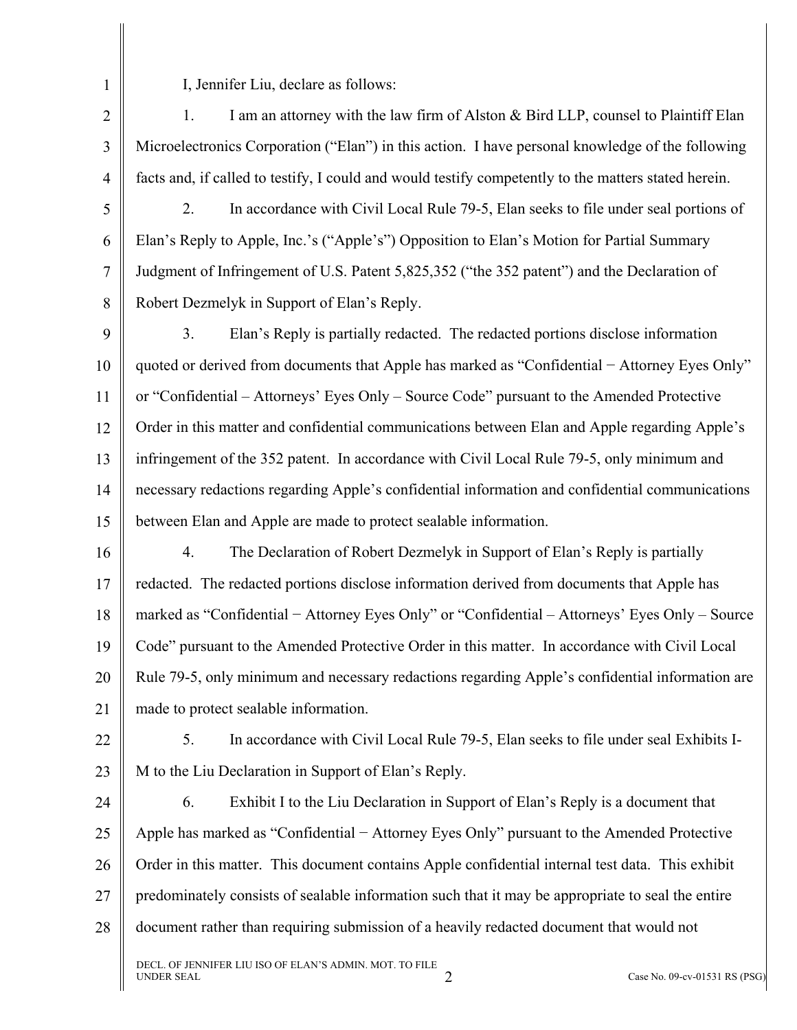1

I, Jennifer Liu, declare as follows:

2 3 4 1. I am an attorney with the law firm of Alston & Bird LLP, counsel to Plaintiff Elan Microelectronics Corporation ("Elan") in this action. I have personal knowledge of the following facts and, if called to testify, I could and would testify competently to the matters stated herein.

5

6

7

2. In accordance with Civil Local Rule 79-5, Elan seeks to file under seal portions of Elan's Reply to Apple, Inc.'s ("Apple's") Opposition to Elan's Motion for Partial Summary Judgment of Infringement of U.S. Patent 5,825,352 ("the 352 patent") and the Declaration of Robert Dezmelyk in Support of Elan's Reply.

8

9 10 11 12 13 14 15 3. Elan's Reply is partially redacted. The redacted portions disclose information quoted or derived from documents that Apple has marked as "Confidential – Attorney Eyes Only" or "Confidential – Attorneys' Eyes Only – Source Code" pursuant to the Amended Protective Order in this matter and confidential communications between Elan and Apple regarding Apple's infringement of the 352 patent. In accordance with Civil Local Rule 79-5, only minimum and necessary redactions regarding Apple's confidential information and confidential communications between Elan and Apple are made to protect sealable information.

16 17 18 19 20 21 4. The Declaration of Robert Dezmelyk in Support of Elan's Reply is partially redacted. The redacted portions disclose information derived from documents that Apple has marked as "Confidential − Attorney Eyes Only" or "Confidential – Attorneys' Eyes Only – Source Code" pursuant to the Amended Protective Order in this matter. In accordance with Civil Local Rule 79-5, only minimum and necessary redactions regarding Apple's confidential information are made to protect sealable information.

22

23 5. In accordance with Civil Local Rule 79-5, Elan seeks to file under seal Exhibits I-M to the Liu Declaration in Support of Elan's Reply.

24 25 26 27 28 6. Exhibit I to the Liu Declaration in Support of Elan's Reply is a document that Apple has marked as "Confidential − Attorney Eyes Only" pursuant to the Amended Protective Order in this matter. This document contains Apple confidential internal test data. This exhibit predominately consists of sealable information such that it may be appropriate to seal the entire document rather than requiring submission of a heavily redacted document that would not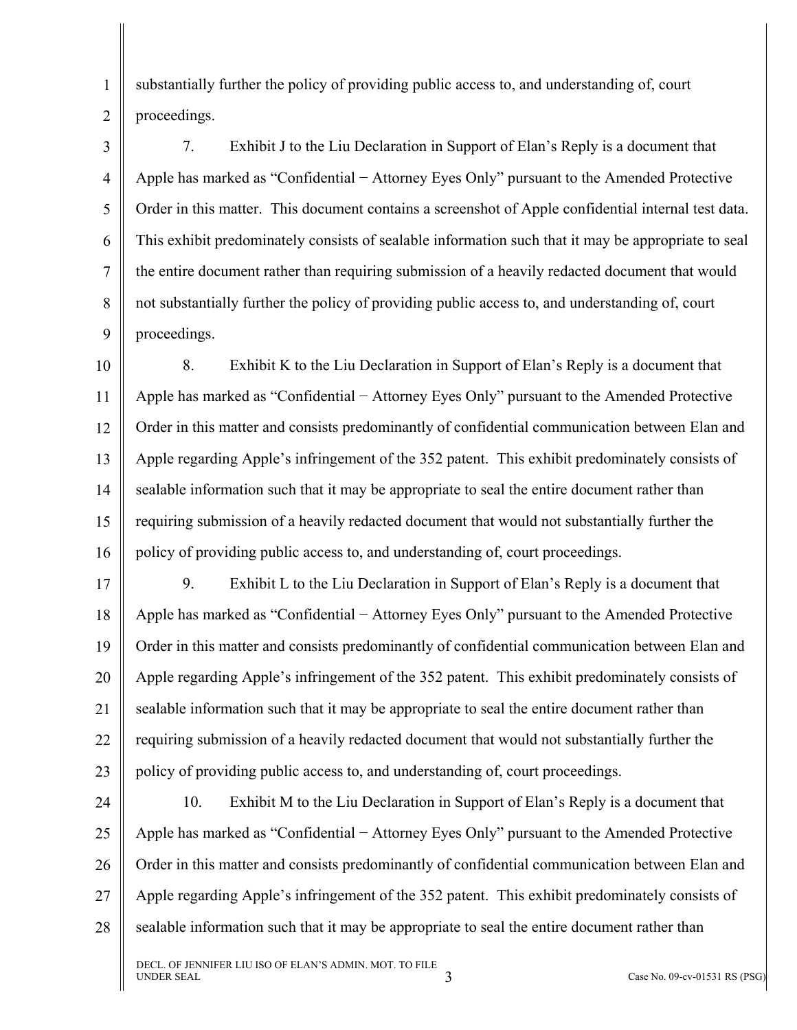1 2 substantially further the policy of providing public access to, and understanding of, court proceedings.

3 4 5 6 7 8 9 7. Exhibit J to the Liu Declaration in Support of Elan's Reply is a document that Apple has marked as "Confidential − Attorney Eyes Only" pursuant to the Amended Protective Order in this matter. This document contains a screenshot of Apple confidential internal test data. This exhibit predominately consists of sealable information such that it may be appropriate to seal the entire document rather than requiring submission of a heavily redacted document that would not substantially further the policy of providing public access to, and understanding of, court proceedings.

10 11 12 13 14 15 16 8. Exhibit K to the Liu Declaration in Support of Elan's Reply is a document that Apple has marked as "Confidential − Attorney Eyes Only" pursuant to the Amended Protective Order in this matter and consists predominantly of confidential communication between Elan and Apple regarding Apple's infringement of the 352 patent. This exhibit predominately consists of sealable information such that it may be appropriate to seal the entire document rather than requiring submission of a heavily redacted document that would not substantially further the policy of providing public access to, and understanding of, court proceedings.

17 18 19 20 21 22 23 9. Exhibit L to the Liu Declaration in Support of Elan's Reply is a document that Apple has marked as "Confidential − Attorney Eyes Only" pursuant to the Amended Protective Order in this matter and consists predominantly of confidential communication between Elan and Apple regarding Apple's infringement of the 352 patent. This exhibit predominately consists of sealable information such that it may be appropriate to seal the entire document rather than requiring submission of a heavily redacted document that would not substantially further the policy of providing public access to, and understanding of, court proceedings.

24 25 26 27 28 10. Exhibit M to the Liu Declaration in Support of Elan's Reply is a document that Apple has marked as "Confidential − Attorney Eyes Only" pursuant to the Amended Protective Order in this matter and consists predominantly of confidential communication between Elan and Apple regarding Apple's infringement of the 352 patent. This exhibit predominately consists of sealable information such that it may be appropriate to seal the entire document rather than